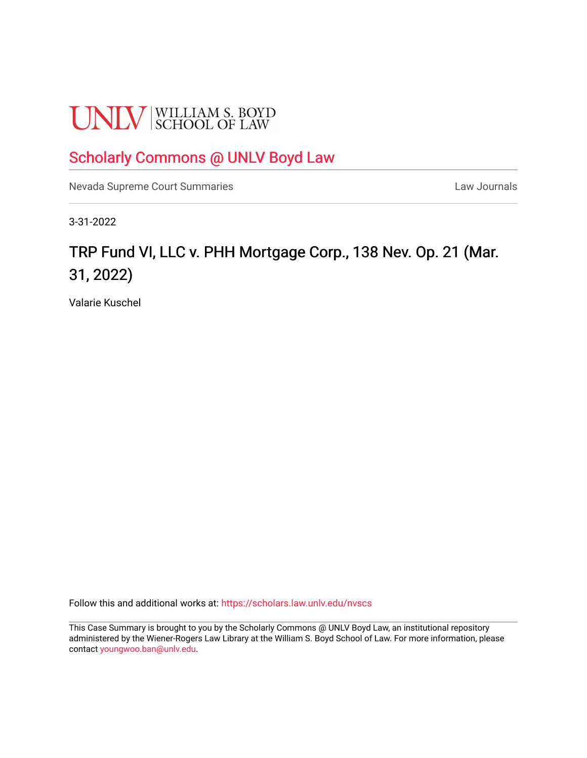# **UNLV** SCHOOL OF LAW

# [Scholarly Commons @ UNLV Boyd Law](https://scholars.law.unlv.edu/)

[Nevada Supreme Court Summaries](https://scholars.law.unlv.edu/nvscs) **Law Journals** Law Journals

3-31-2022

# TRP Fund VI, LLC v. PHH Mortgage Corp., 138 Nev. Op. 21 (Mar. 31, 2022)

Valarie Kuschel

Follow this and additional works at: [https://scholars.law.unlv.edu/nvscs](https://scholars.law.unlv.edu/nvscs?utm_source=scholars.law.unlv.edu%2Fnvscs%2F1477&utm_medium=PDF&utm_campaign=PDFCoverPages)

This Case Summary is brought to you by the Scholarly Commons @ UNLV Boyd Law, an institutional repository administered by the Wiener-Rogers Law Library at the William S. Boyd School of Law. For more information, please contact [youngwoo.ban@unlv.edu](mailto:youngwoo.ban@unlv.edu).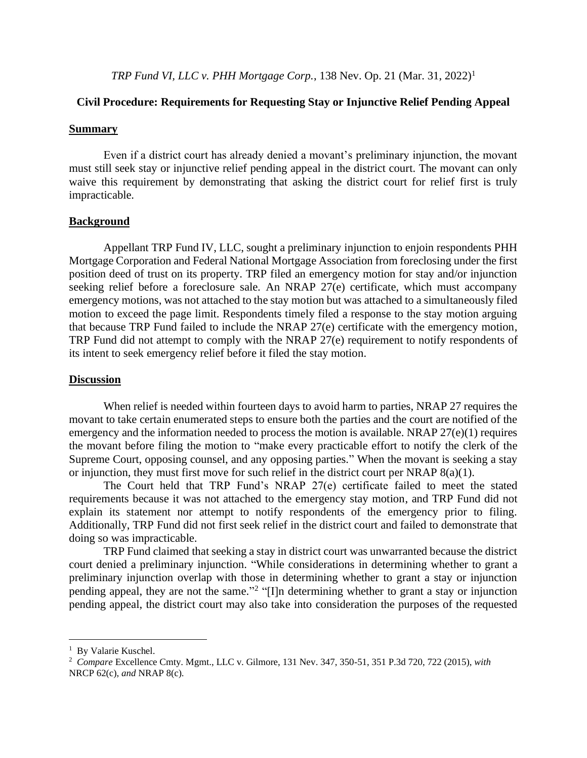*TRP Fund VI, LLC v. PHH Mortgage Corp.*, 138 Nev. Op. 21 (Mar. 31, 2022)<sup>1</sup>

## **Civil Procedure: Requirements for Requesting Stay or Injunctive Relief Pending Appeal**

#### **Summary**

Even if a district court has already denied a movant's preliminary injunction, the movant must still seek stay or injunctive relief pending appeal in the district court. The movant can only waive this requirement by demonstrating that asking the district court for relief first is truly impracticable.

### **Background**

Appellant TRP Fund IV, LLC, sought a preliminary injunction to enjoin respondents PHH Mortgage Corporation and Federal National Mortgage Association from foreclosing under the first position deed of trust on its property. TRP filed an emergency motion for stay and/or injunction seeking relief before a foreclosure sale. An NRAP 27(e) certificate, which must accompany emergency motions, was not attached to the stay motion but was attached to a simultaneously filed motion to exceed the page limit. Respondents timely filed a response to the stay motion arguing that because TRP Fund failed to include the NRAP 27(e) certificate with the emergency motion, TRP Fund did not attempt to comply with the NRAP 27(e) requirement to notify respondents of its intent to seek emergency relief before it filed the stay motion.

#### **Discussion**

When relief is needed within fourteen days to avoid harm to parties, NRAP 27 requires the movant to take certain enumerated steps to ensure both the parties and the court are notified of the emergency and the information needed to process the motion is available. NRAP 27(e)(1) requires the movant before filing the motion to "make every practicable effort to notify the clerk of the Supreme Court, opposing counsel, and any opposing parties." When the movant is seeking a stay or injunction, they must first move for such relief in the district court per NRAP 8(a)(1).

The Court held that TRP Fund's NRAP 27(e) certificate failed to meet the stated requirements because it was not attached to the emergency stay motion, and TRP Fund did not explain its statement nor attempt to notify respondents of the emergency prior to filing. Additionally, TRP Fund did not first seek relief in the district court and failed to demonstrate that doing so was impracticable.

TRP Fund claimed that seeking a stay in district court was unwarranted because the district court denied a preliminary injunction. "While considerations in determining whether to grant a preliminary injunction overlap with those in determining whether to grant a stay or injunction pending appeal, they are not the same."<sup>2</sup> "[I]n determining whether to grant a stay or injunction pending appeal, the district court may also take into consideration the purposes of the requested

<sup>&</sup>lt;sup>1</sup> By Valarie Kuschel.

<sup>2</sup> *Compare* Excellence Cmty. Mgmt., LLC v. Gilmore, 131 Nev. 347, 350-51, 351 P.3d 720, 722 (2015), *with*  NRCP 62(c), *and* NRAP 8(c).